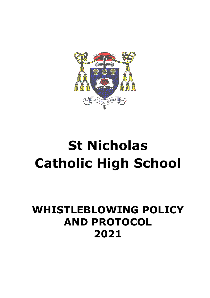

# **St Nicholas Catholic High School**

# **WHISTLEBLOWING POLICY AND PROTOCOL 2021**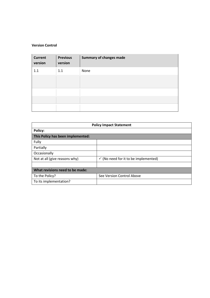#### **Version Control**

| <b>Current</b><br>version | <b>Previous</b><br>version | <b>Summary of changes made</b> |
|---------------------------|----------------------------|--------------------------------|
| 1.1                       | 1.1                        | None                           |
|                           |                            |                                |
|                           |                            |                                |
|                           |                            |                                |
|                           |                            |                                |

| <b>Policy Impact Statement</b>    |                                                 |  |  |  |
|-----------------------------------|-------------------------------------------------|--|--|--|
| <b>Policy:</b>                    |                                                 |  |  |  |
| This Policy has been implemented: |                                                 |  |  |  |
| Fully                             |                                                 |  |  |  |
| Partially                         |                                                 |  |  |  |
| Occasionally                      |                                                 |  |  |  |
| Not at all (give reasons why)     | $\checkmark$ (No need for it to be implemented) |  |  |  |
|                                   |                                                 |  |  |  |
| What revisions need to be made:   |                                                 |  |  |  |
| To the Policy?                    | See Version Control Above                       |  |  |  |
| To its implementation?            |                                                 |  |  |  |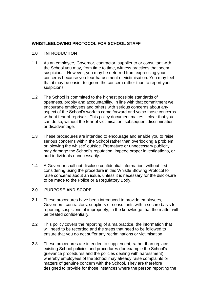# **WHISTLEBLOWING PROTOCOL FOR SCHOOL STAFF**

#### **1.0 INTRODUCTION**

- 1.1 As an employee, Governor, contractor, supplier to or consultant with, the School you may, from time to time, witness practices that seem suspicious. However, you may be deterred from expressing your concerns because you fear harassment or victimisation. You may feel that it may be easier to ignore the concern rather than to report your suspicions.
- 1.2 The School is committed to the highest possible standards of openness, probity and accountability. In line with that commitment we encourage employees and others with serious concerns about any aspect of the School's work to come forward and voice those concerns without fear of reprisals. This policy document makes it clear that you can do so, without the fear of victimisation, subsequent discrimination or disadvantage.
- 1.3 These procedures are intended to encourage and enable you to raise serious concerns within the School rather than overlooking a problem or 'blowing the whistle' outside. Premature or unnecessary publicity may damage the School's reputation, impede proper investigations, or hurt individuals unnecessarily.
- 1.4 A Governor shall not disclose confidential information, without first considering using the procedure in this Whistle Blowing Protocol to raise concerns about an issue, unless it is necessary for the disclosure to be made to the Police or a Regulatory Body.

# **2.0 PURPOSE AND SCOPE**

- 2.1 These procedures have been introduced to provide employees, Governors, contractors, suppliers or consultants with a secure basis for reporting suspicions of impropriety, in the knowledge that the matter will be treated confidentially.
- 2.2 This policy covers the reporting of a malpractice, the information that will need to be recorded and the steps that need to be followed to ensure that you do not suffer any recriminations or victimisation.
- 2.3 These procedures are intended to supplement, rather than replace, existing School policies and procedures (for example the School's grievance procedures and the policies dealing with harassment) whereby employees of the School may already raise complaints or matters of genuine concern with the School. They are therefore designed to provide for those instances where the person reporting the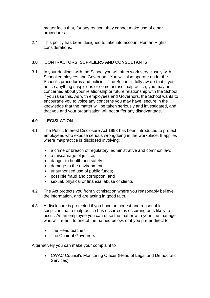matter feels that, for any reason, they cannot make use of other procedures.

2.4 This policy has been designed to take into account Human Rights considerations.

# **3.0 CONTRACTORS, SUPPLIERS AND CONSULTANTS**

3.1 In your dealings with the School you will often work very closely with School employees and Governors. You will also operate under the School's procedures and policies. The School is fully aware that if you notice anything suspicious or come across malpractice, you may be concerned about your relationship or future relationship with the School if you raise this. As with employees and Governors, the School wants to encourage you to voice any concerns you may have, secure in the knowledge that the matter will be taken seriously and investigated, and that you and your organisation will not suffer any disadvantage.

# **4.0 LEGISLATION**

- 4.1 The Public Interest Disclosure Act 1998 has been introduced to protect employees who expose serious wrongdoing in the workplace. It applies where malpractice is disclosed involving:
	- a crime or breach of regulatory, administrative and common law;
	- a miscarriage of justice;
	- danger to health and safety
	- damage to the environment;
	- unauthorised use of public funds;
	- possible fraud and corruption; and
	- sexual, physical or financial abuse of clients
- 4.2 The Act protects you from victimisation where you reasonably believe the information, and are acting in good faith.
- 4.3 A disclosure is protected if you have an honest and reasonable suspicion that a malpractice has occurred, is occurring or is likely to occur. As an employee you can raise the matter with your line manager who will refer it to one of the named below, or if you prefer direct to:
	- The Head teacher
	- The Chair of Governors

Alternatively you can make your complaint to

 CWAC Council's Monitoring Officer (Head of Legal and Democratic Services)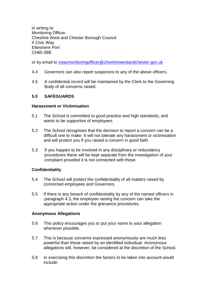in writing to: Monitoring Officer Cheshire West and Chester Borough Council 4 Civic Way Ellesmere Port CH65 0BE

or by email to [cwacmonitoringofficer@cheshirewestandchester.gov.uk](mailto:cwacmonitoringofficer@cheshirewestandchester.gov.uk)

- 4.4 Governors can also report suspicions to any of the above officers.
- 4.5 A confidential record will be maintained by the Clerk to the Governing Body of all concerns raised.

#### **5.0 SAFEGUARDS**

#### **Harassment or Victimisation**

- 5.1 The School is committed to good practice and high standards, and wants to be supportive of employees.
- 5.2 The School recognises that the decision to report a concern can be a difficult one to make. It will not tolerate any harassment or victimisation and will protect you if you raised a concern in good faith.
- 5.3 If you happen to be involved in any disciplinary or redundancy procedures these will be kept separate from the investigation of your complaint provided it is not connected with those.

#### **Confidentiality**

- 5.4 The School will protect the confidentiality of all matters raised by concerned employees and Governors.
- 5.5 If there is any breach of confidentiality by any of the named officers in paragraph 4.3, the employee raising the concern can take the appropriate action under the grievance procedures.

#### **Anonymous Allegations**

- 5.6 This policy encourages you to put your name to your allegation whenever possible.
- 5.7 This is because concerns expressed anonymously are much less powerful than those raised by an identified individual. Anonymous allegations will, however, be considered at the discretion of the School.
- 5.8 In exercising this discretion the factors to be taken into account would include: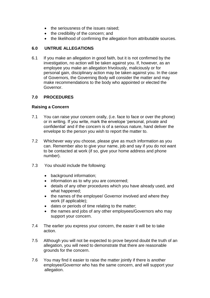- the seriousness of the issues raised;
- the credibility of the concern; and
- the likelihood of confirming the allegation from attributable sources.

# **6.0 UNTRUE ALLEGATIONS**

6.1 If you make an allegation in good faith, but it is not confirmed by the investigation, no action will be taken against you. If, however, as an employee you make an allegation frivolously, maliciously or for personal gain, disciplinary action may be taken against you. In the case of Governors, the Governing Body will consider the matter and may make recommendations to the body who appointed or elected the Governor.

# **7.0 PROCEDURES**

### **Raising a Concern**

- 7.1 You can raise your concern orally, (i.e. face to face or over the phone) or in writing. If you write, mark the envelope 'personal, private and confidential' and if the concern is of a serious nature, hand deliver the envelope to the person you wish to report the matter to.
- 7.2 Whichever way you choose, please give as much information as you can. Remember also to give your name, job and say if you do not want to be contacted at work (if so, give your home address and phone number).
- 7.3 You should include the following:
	- background information;
	- information as to why you are concerned;
	- details of any other procedures which you have already used, and what happened;
	- the names of the employee/ Governor involved and where they work (if applicable);
	- dates or periods of time relating to the matter;
	- the names and jobs of any other employees/Governors who may support your concern.
- 7.4 The earlier you express your concern, the easier it will be to take action.
- 7.5 Although you will not be expected to prove beyond doubt the truth of an allegation, you will need to demonstrate that there are reasonable grounds for the concern.
- 7.6 You may find it easier to raise the matter jointly if there is another employee/Governor who has the same concern, and will support your allegation.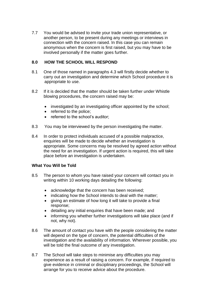7.7 You would be advised to invite your trade union representative, or another person, to be present during any meetings or interviews in connection with the concern raised. In this case you can remain anonymous when the concern is first raised, but you may have to be involved personally if the matter goes further.

# **8.0 HOW THE SCHOOL WILL RESPOND**

- 8.1 One of those named in paragraphs 4.3 will firstly decide whether to carry out an investigation and determine which School procedure it is appropriate to use.
- 8.2 If it is decided that the matter should be taken further under Whistle blowing procedures, the concern raised may be:
	- investigated by an investigating officer appointed by the school;
	- referred to the police;
	- referred to the school's auditor;
- 8.3 You may be interviewed by the person investigating the matter.
- 8.4 In order to protect individuals accused of a possible malpractice, enquiries will be made to decide whether an investigation is appropriate. Some concerns may be resolved by agreed action without the need for an investigation. If urgent action is required, this will take place before an investigation is undertaken.

#### **What You Will be Told**

- 8.5 The person to whom you have raised your concern will contact you in writing within 10 working days detailing the following:
	- acknowledge that the concern has been received;
	- indicating how the School intends to deal with the matter;
	- giving an estimate of how long it will take to provide a final response;
	- detailing any initial enquiries that have been made; and
	- informing you whether further investigations will take place (and if not, why not).
- 8.6 The amount of contact you have with the people considering the matter will depend on the type of concern, the potential difficulties of the investigation and the availability of information. Wherever possible, you will be told the final outcome of any investigation.
- 8.7 The School will take steps to minimise any difficulties you may experience as a result of raising a concern. For example, if required to give evidence in criminal or disciplinary proceedings, the School will arrange for you to receive advice about the procedure.